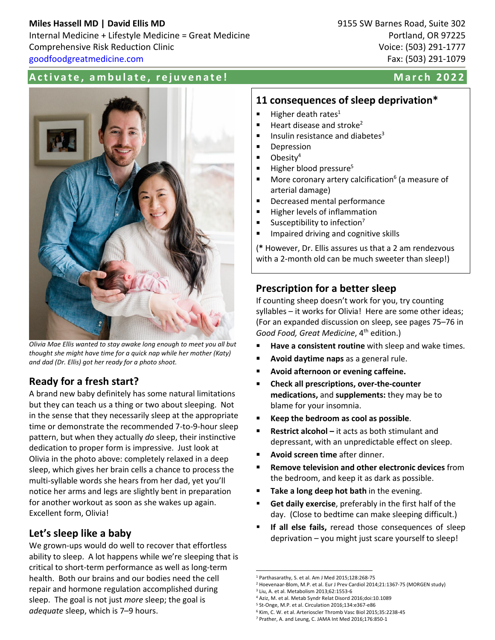## **Miles Hassell MD | David Ellis MD** 802 Internal Medicine + Lifestyle Medicine = Great Medicine Portland, OR 97225 Comprehensive Risk Reduction Clinic Voice: (503) 291-1777 [goodfoodgreatmedicine.com](http://goodfoodgreatmedicine.com/) Fax: (503) 291-1079

#### Activate, ambulate, rejuvenate! Activate March 2022



*Olivia Mae Ellis wanted to stay awake long enough to meet you all but thought she might have time for a quick nap while her mother (Katy) and dad (Dr. Ellis) got her ready for a photo shoot.* 

# Ready for a fresh start?

A brand new baby definitely has some natural limitations but they can teach us a thing or two about sleeping. Not in the sense that they necessarily sleep at the appropriate time or demonstrate the recommended 7-to-9-hour sleep pattern, but when they actually *do* sleep, their instinctive dedication to proper form is impressive. Just look at Olivia in the photo above: completely relaxed in a deep sleep, which gives her brain cells a chance to process the multi-syllable words she hears from her dad, yet you'll notice her arms and legs are slightly bent in preparation for another workout as soon as she wakes up again. Excellent form, Olivia!

## Let's sleep like a baby

We grown-ups would do well to recover that effortless ability to sleep. A lot happens while we're sleeping that is critical to short-term performance as well as long-term health. Both our brains and our bodies need the cell repair and hormone regulation accomplished during sleep. The goal is not just *more* sleep; the goal is *adequate* sleep, which is 7–9 hours.

## 11 consequences of sleep deprivation\*

- $\blacksquare$  Higher death rates<sup>1</sup>
- $\blacksquare$  Heart disease and stroke<sup>2</sup>
- Insulin resistance and diabetes<sup>3</sup>
- **Depression**
- $\blacksquare$  Obesity<sup>4</sup>
- $\blacksquare$  Higher blood pressure<sup>5</sup>
- More coronary artery calcification $6$  (a measure of arterial damage)
- **Decreased mental performance**
- **Higher levels of inflammation**
- Susceptibility to infection<sup>7</sup>
- Impaired driving and cognitive skills

(\* However, Dr. Ellis assures us that a 2 am rendezvous with a 2-month old can be much sweeter than sleep!)

# Prescription for a better sleep

If counting sheep doesn't work for you, try counting syllables – it works for Olivia! Here are some other ideas; (For an expanded discussion on sleep, see pages 75–76 in *Good Food, Great Medicine*, 4th edition.)

- Have a consistent routine with sleep and wake times.
- **Avoid daytime naps** as a general rule.
- Avoid afternoon or evening caffeine.
- Check all prescriptions, over-the-counter medications, and supplements: they may be to blame for your insomnia.
- Keep the bedroom as cool as possible.
- Restrict alcohol it acts as both stimulant and depressant, with an unpredictable effect on sleep.
- Avoid screen time after dinner.
- Remove television and other electronic devices from the bedroom, and keep it as dark as possible.
- Take a long deep hot bath in the evening.
- Get daily exercise, preferably in the first half of the day. (Close to bedtime can make sleeping difficult.)
- If all else fails, reread those consequences of sleep deprivation – you might just scare yourself to sleep!

<sup>1</sup> Parthasarathy, S. et al. Am J Med 2015;128:268-75

<sup>2</sup> Hoevenaar-Blom, M.P. et al. Eur J Prev Cardiol 2014;21:1367-75 (MORGEN study) <sup>3</sup> Liu, A. et al. Metabolism 2013;62:1553-6

<sup>4</sup> Aziz, M. et al. Metab Syndr Relat Disord 2016;doi:10.1089

<sup>5</sup> St-Onge, M.P. et al. Circulation 2016;134:e367-e86

<sup>6</sup> Kim, C. W. et al. Arterioscler Thromb Vasc Biol 2015;35:2238-45

<sup>7</sup> Prather, A. and Leung, C. JAMA Int Med 2016;176:850-1